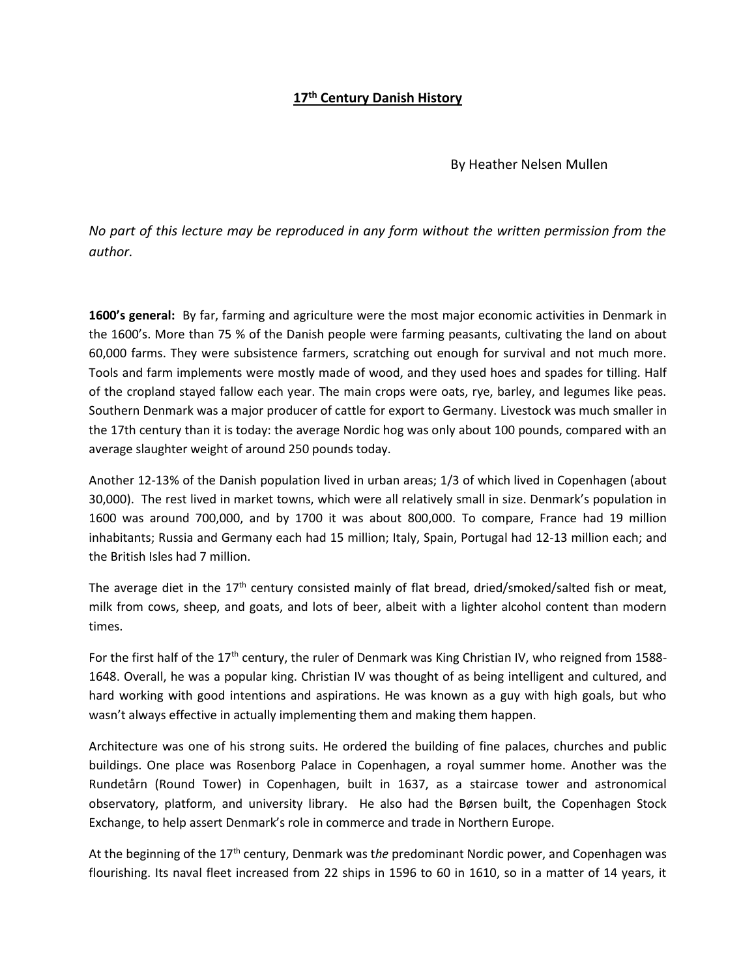# **17th Century Danish History**

By Heather Nelsen Mullen

*No part of this lecture may be reproduced in any form without the written permission from the author.*

**1600's general:** By far, farming and agriculture were the most major economic activities in Denmark in the 1600's. More than 75 % of the Danish people were farming peasants, cultivating the land on about 60,000 farms. They were subsistence farmers, scratching out enough for survival and not much more. Tools and farm implements were mostly made of wood, and they used hoes and spades for tilling. Half of the cropland stayed fallow each year. The main crops were oats, rye, barley, and legumes like peas. Southern Denmark was a major producer of cattle for export to Germany. Livestock was much smaller in the 17th century than it is today: the average Nordic hog was only about 100 pounds, compared with an average slaughter weight of around 250 pounds today.

Another 12-13% of the Danish population lived in urban areas; 1/3 of which lived in Copenhagen (about 30,000). The rest lived in market towns, which were all relatively small in size. Denmark's population in 1600 was around 700,000, and by 1700 it was about 800,000. To compare, France had 19 million inhabitants; Russia and Germany each had 15 million; Italy, Spain, Portugal had 12-13 million each; and the British Isles had 7 million.

The average diet in the  $17<sup>th</sup>$  century consisted mainly of flat bread, dried/smoked/salted fish or meat, milk from cows, sheep, and goats, and lots of beer, albeit with a lighter alcohol content than modern times.

For the first half of the 17<sup>th</sup> century, the ruler of Denmark was King Christian IV, who reigned from 1588-1648. Overall, he was a popular king. Christian IV was thought of as being intelligent and cultured, and hard working with good intentions and aspirations. He was known as a guy with high goals, but who wasn't always effective in actually implementing them and making them happen.

Architecture was one of his strong suits. He ordered the building of fine palaces, churches and public buildings. One place was Rosenborg Palace in Copenhagen, a royal summer home. Another was the Rundetårn (Round Tower) in Copenhagen, built in 1637, as a staircase tower and astronomical observatory, platform, and university library. He also had the Børsen built, the Copenhagen Stock Exchange, to help assert Denmark's role in commerce and trade in Northern Europe.

At the beginning of the 17th century, Denmark was t*he* predominant Nordic power, and Copenhagen was flourishing. Its naval fleet increased from 22 ships in 1596 to 60 in 1610, so in a matter of 14 years, it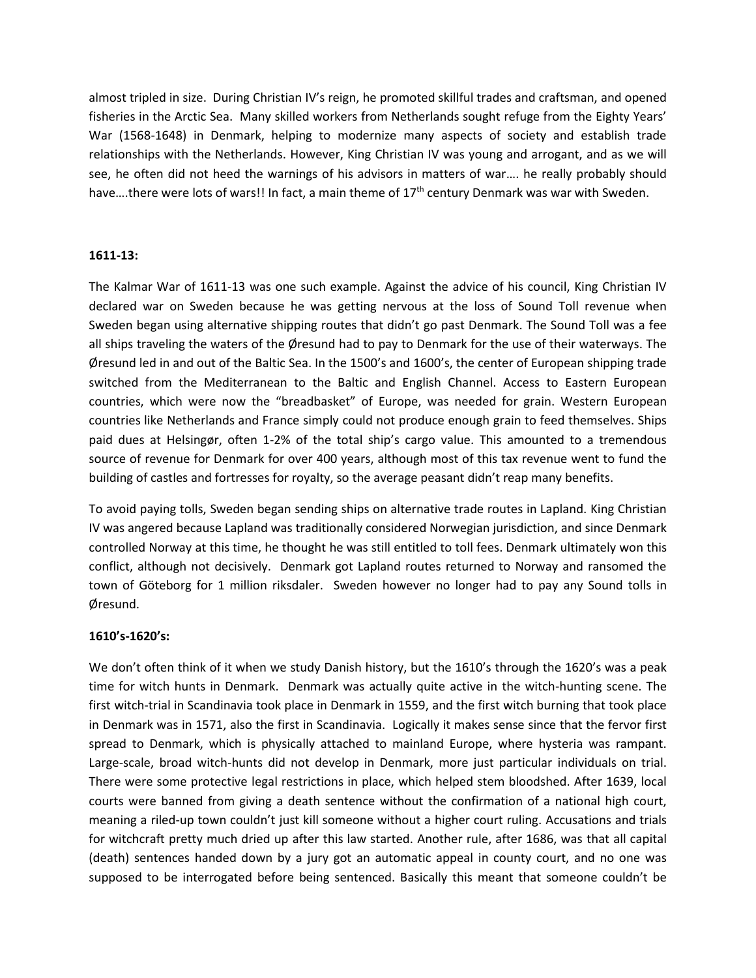almost tripled in size. During Christian IV's reign, he promoted skillful trades and craftsman, and opened fisheries in the Arctic Sea. Many skilled workers from Netherlands sought refuge from the Eighty Years' War (1568-1648) in Denmark, helping to modernize many aspects of society and establish trade relationships with the Netherlands. However, King Christian IV was young and arrogant, and as we will see, he often did not heed the warnings of his advisors in matters of war…. he really probably should have....there were lots of wars!! In fact, a main theme of  $17<sup>th</sup>$  century Denmark was war with Sweden.

#### **1611-13:**

The Kalmar War of 1611-13 was one such example. Against the advice of his council, King Christian IV declared war on Sweden because he was getting nervous at the loss of Sound Toll revenue when Sweden began using alternative shipping routes that didn't go past Denmark. The Sound Toll was a fee all ships traveling the waters of the Øresund had to pay to Denmark for the use of their waterways. The Øresund led in and out of the Baltic Sea. In the 1500's and 1600's, the center of European shipping trade switched from the Mediterranean to the Baltic and English Channel. Access to Eastern European countries, which were now the "breadbasket" of Europe, was needed for grain. Western European countries like Netherlands and France simply could not produce enough grain to feed themselves. Ships paid dues at Helsingør, often 1-2% of the total ship's cargo value. This amounted to a tremendous source of revenue for Denmark for over 400 years, although most of this tax revenue went to fund the building of castles and fortresses for royalty, so the average peasant didn't reap many benefits.

To avoid paying tolls, Sweden began sending ships on alternative trade routes in Lapland. King Christian IV was angered because Lapland was traditionally considered Norwegian jurisdiction, and since Denmark controlled Norway at this time, he thought he was still entitled to toll fees. Denmark ultimately won this conflict, although not decisively. Denmark got Lapland routes returned to Norway and ransomed the town of Gӧteborg for 1 million riksdaler. Sweden however no longer had to pay any Sound tolls in Øresund.

#### **1610's-1620's:**

We don't often think of it when we study Danish history, but the 1610's through the 1620's was a peak time for witch hunts in Denmark. Denmark was actually quite active in the witch-hunting scene. The first witch-trial in Scandinavia took place in Denmark in 1559, and the first witch burning that took place in Denmark was in 1571, also the first in Scandinavia. Logically it makes sense since that the fervor first spread to Denmark, which is physically attached to mainland Europe, where hysteria was rampant. Large-scale, broad witch-hunts did not develop in Denmark, more just particular individuals on trial. There were some protective legal restrictions in place, which helped stem bloodshed. After 1639, local courts were banned from giving a death sentence without the confirmation of a national high court, meaning a riled-up town couldn't just kill someone without a higher court ruling. Accusations and trials for witchcraft pretty much dried up after this law started. Another rule, after 1686, was that all capital (death) sentences handed down by a jury got an automatic appeal in county court, and no one was supposed to be interrogated before being sentenced. Basically this meant that someone couldn't be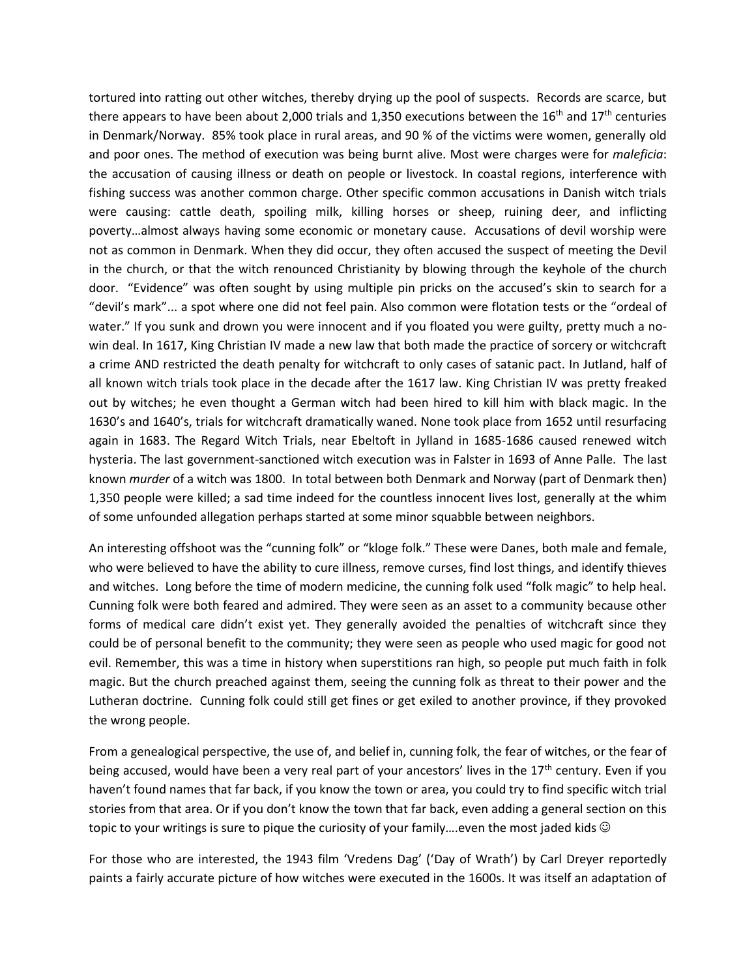tortured into ratting out other witches, thereby drying up the pool of suspects. Records are scarce, but there appears to have been about 2,000 trials and 1,350 executions between the  $16<sup>th</sup>$  and  $17<sup>th</sup>$  centuries in Denmark/Norway. 85% took place in rural areas, and 90 % of the victims were women, generally old and poor ones. The method of execution was being burnt alive. Most were charges were for *maleficia*: the accusation of causing illness or death on people or livestock. In coastal regions, interference with fishing success was another common charge. Other specific common accusations in Danish witch trials were causing: cattle death, spoiling milk, killing horses or sheep, ruining deer, and inflicting poverty…almost always having some economic or monetary cause. Accusations of devil worship were not as common in Denmark. When they did occur, they often accused the suspect of meeting the Devil in the church, or that the witch renounced Christianity by blowing through the keyhole of the church door. "Evidence" was often sought by using multiple pin pricks on the accused's skin to search for a "devil's mark"... a spot where one did not feel pain. Also common were flotation tests or the "ordeal of water." If you sunk and drown you were innocent and if you floated you were guilty, pretty much a nowin deal. In 1617, King Christian IV made a new law that both made the practice of sorcery or witchcraft a crime AND restricted the death penalty for witchcraft to only cases of satanic pact. In Jutland, half of all known witch trials took place in the decade after the 1617 law. King Christian IV was pretty freaked out by witches; he even thought a German witch had been hired to kill him with black magic. In the 1630's and 1640's, trials for witchcraft dramatically waned. None took place from 1652 until resurfacing again in 1683. The Regard Witch Trials, near Ebeltoft in Jylland in 1685-1686 caused renewed witch hysteria. The last government-sanctioned witch execution was in Falster in 1693 of Anne Palle. The last known *murder* of a witch was 1800. In total between both Denmark and Norway (part of Denmark then) 1,350 people were killed; a sad time indeed for the countless innocent lives lost, generally at the whim of some unfounded allegation perhaps started at some minor squabble between neighbors.

An interesting offshoot was the "cunning folk" or "kloge folk." These were Danes, both male and female, who were believed to have the ability to cure illness, remove curses, find lost things, and identify thieves and witches. Long before the time of modern medicine, the cunning folk used "folk magic" to help heal. Cunning folk were both feared and admired. They were seen as an asset to a community because other forms of medical care didn't exist yet. They generally avoided the penalties of witchcraft since they could be of personal benefit to the community; they were seen as people who used magic for good not evil. Remember, this was a time in history when superstitions ran high, so people put much faith in folk magic. But the church preached against them, seeing the cunning folk as threat to their power and the Lutheran doctrine. Cunning folk could still get fines or get exiled to another province, if they provoked the wrong people.

From a genealogical perspective, the use of, and belief in, cunning folk, the fear of witches, or the fear of being accused, would have been a very real part of your ancestors' lives in the 17<sup>th</sup> century. Even if you haven't found names that far back, if you know the town or area, you could try to find specific witch trial stories from that area. Or if you don't know the town that far back, even adding a general section on this topic to your writings is sure to pique the curiosity of your family....even the most jaded kids  $\odot$ 

For those who are interested, the 1943 film 'Vredens Dag' ('Day of Wrath') by Carl Dreyer reportedly paints a fairly accurate picture of how witches were executed in the 1600s. It was itself an adaptation of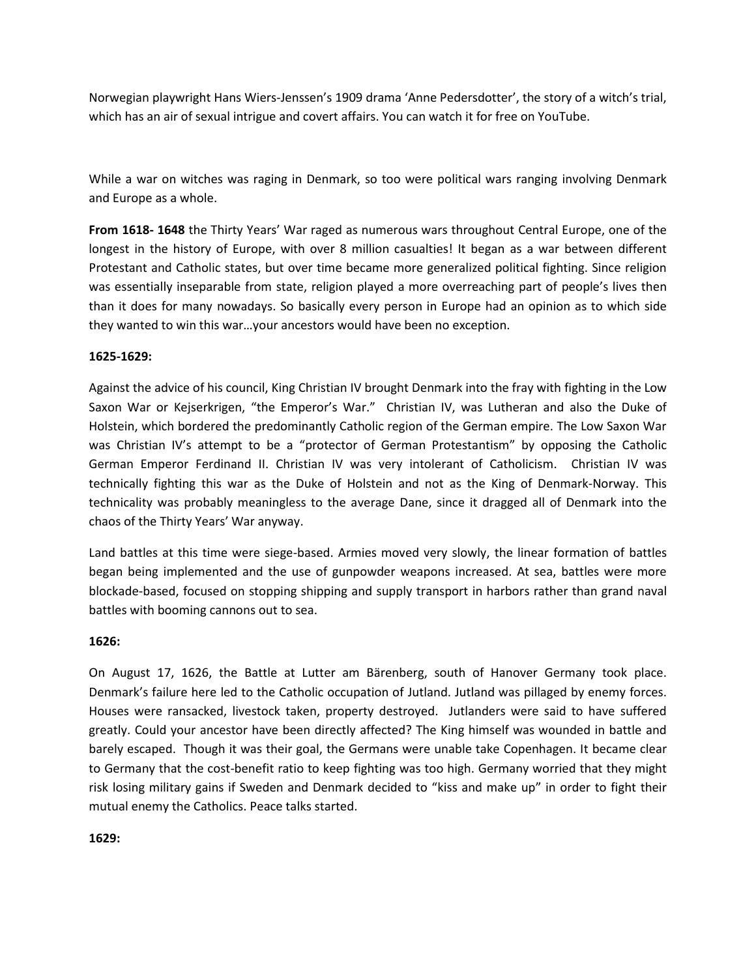Norwegian playwright Hans Wiers-Jenssen's 1909 drama 'Anne Pedersdotter', the story of a witch's trial, which has an air of sexual intrigue and covert affairs. You can watch it for free on YouTube.

While a war on witches was raging in Denmark, so too were political wars ranging involving Denmark and Europe as a whole.

**From 1618- 1648** the Thirty Years' War raged as numerous wars throughout Central Europe, one of the longest in the history of Europe, with over 8 million casualties! It began as a war between different Protestant and Catholic states, but over time became more generalized political fighting. Since religion was essentially inseparable from state, religion played a more overreaching part of people's lives then than it does for many nowadays. So basically every person in Europe had an opinion as to which side they wanted to win this war…your ancestors would have been no exception.

## **1625-1629:**

Against the advice of his council, King Christian IV brought Denmark into the fray with fighting in the Low Saxon War or Kejserkrigen, "the Emperor's War." Christian IV, was Lutheran and also the Duke of Holstein, which bordered the predominantly Catholic region of the German empire. The Low Saxon War was Christian IV's attempt to be a "protector of German Protestantism" by opposing the Catholic German Emperor Ferdinand II. Christian IV was very intolerant of Catholicism. Christian IV was technically fighting this war as the Duke of Holstein and not as the King of Denmark-Norway. This technicality was probably meaningless to the average Dane, since it dragged all of Denmark into the chaos of the Thirty Years' War anyway.

Land battles at this time were siege-based. Armies moved very slowly, the linear formation of battles began being implemented and the use of gunpowder weapons increased. At sea, battles were more blockade-based, focused on stopping shipping and supply transport in harbors rather than grand naval battles with booming cannons out to sea.

## **1626:**

On August 17, 1626, the Battle at Lutter am Bӓrenberg, south of Hanover Germany took place. Denmark's failure here led to the Catholic occupation of Jutland. Jutland was pillaged by enemy forces. Houses were ransacked, livestock taken, property destroyed. Jutlanders were said to have suffered greatly. Could your ancestor have been directly affected? The King himself was wounded in battle and barely escaped. Though it was their goal, the Germans were unable take Copenhagen. It became clear to Germany that the cost-benefit ratio to keep fighting was too high. Germany worried that they might risk losing military gains if Sweden and Denmark decided to "kiss and make up" in order to fight their mutual enemy the Catholics. Peace talks started.

**1629:**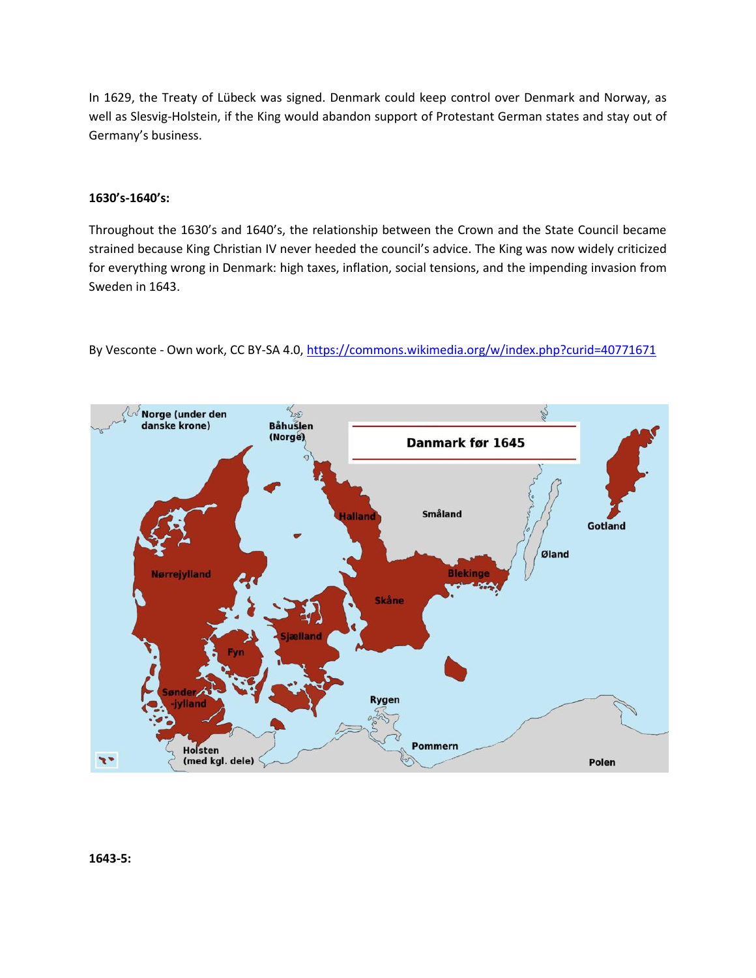In 1629, the Treaty of Lübeck was signed. Denmark could keep control over Denmark and Norway, as well as Slesvig-Holstein, if the King would abandon support of Protestant German states and stay out of Germany's business.

### **1630's-1640's:**

Throughout the 1630's and 1640's, the relationship between the Crown and the State Council became strained because King Christian IV never heeded the council's advice. The King was now widely criticized for everything wrong in Denmark: high taxes, inflation, social tensions, and the impending invasion from Sweden in 1643.



By Vesconte - Own work, CC BY-SA 4.0[, https://commons.wikimedia.org/w/index.php?curid=40771671](https://commons.wikimedia.org/w/index.php?curid=40771671)

**1643-5:**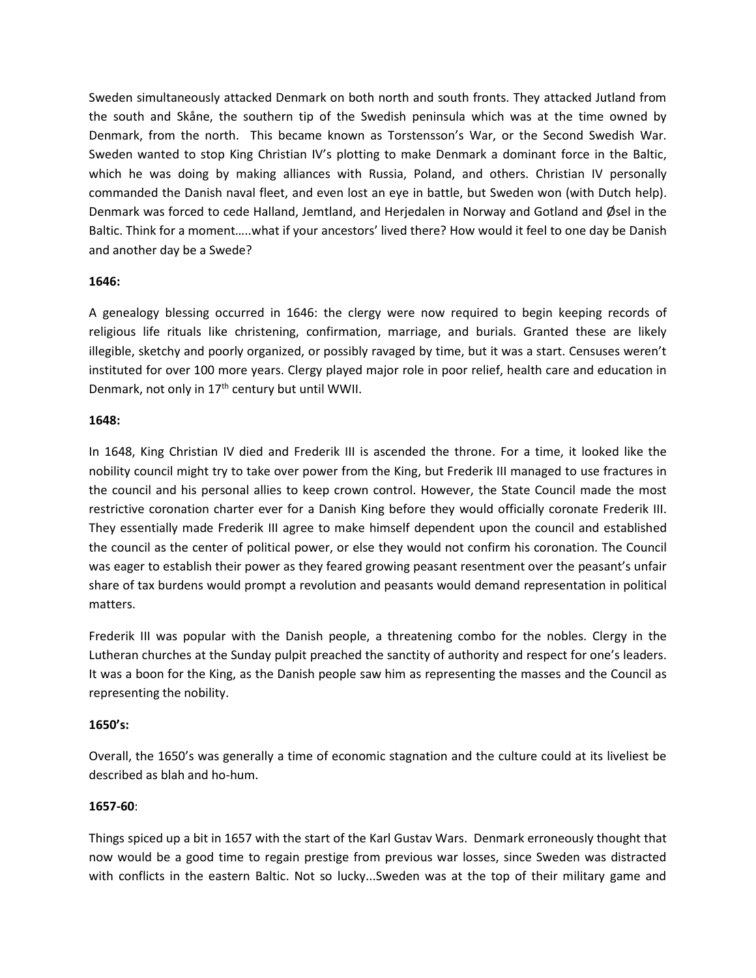Sweden simultaneously attacked Denmark on both north and south fronts. They attacked Jutland from the south and Skåne, the southern tip of the Swedish peninsula which was at the time owned by Denmark, from the north. This became known as Torstensson's War, or the Second Swedish War. Sweden wanted to stop King Christian IV's plotting to make Denmark a dominant force in the Baltic, which he was doing by making alliances with Russia, Poland, and others. Christian IV personally commanded the Danish naval fleet, and even lost an eye in battle, but Sweden won (with Dutch help). Denmark was forced to cede Halland, Jemtland, and Herjedalen in Norway and Gotland and Øsel in the Baltic. Think for a moment…..what if your ancestors' lived there? How would it feel to one day be Danish and another day be a Swede?

### **1646:**

A genealogy blessing occurred in 1646: the clergy were now required to begin keeping records of religious life rituals like christening, confirmation, marriage, and burials. Granted these are likely illegible, sketchy and poorly organized, or possibly ravaged by time, but it was a start. Censuses weren't instituted for over 100 more years. Clergy played major role in poor relief, health care and education in Denmark, not only in 17<sup>th</sup> century but until WWII.

### **1648:**

In 1648, King Christian IV died and Frederik III is ascended the throne. For a time, it looked like the nobility council might try to take over power from the King, but Frederik III managed to use fractures in the council and his personal allies to keep crown control. However, the State Council made the most restrictive coronation charter ever for a Danish King before they would officially coronate Frederik III. They essentially made Frederik III agree to make himself dependent upon the council and established the council as the center of political power, or else they would not confirm his coronation. The Council was eager to establish their power as they feared growing peasant resentment over the peasant's unfair share of tax burdens would prompt a revolution and peasants would demand representation in political matters.

Frederik III was popular with the Danish people, a threatening combo for the nobles. Clergy in the Lutheran churches at the Sunday pulpit preached the sanctity of authority and respect for one's leaders. It was a boon for the King, as the Danish people saw him as representing the masses and the Council as representing the nobility.

## **1650's:**

Overall, the 1650's was generally a time of economic stagnation and the culture could at its liveliest be described as blah and ho-hum.

#### **1657-60**:

Things spiced up a bit in 1657 with the start of the Karl Gustav Wars. Denmark erroneously thought that now would be a good time to regain prestige from previous war losses, since Sweden was distracted with conflicts in the eastern Baltic. Not so lucky...Sweden was at the top of their military game and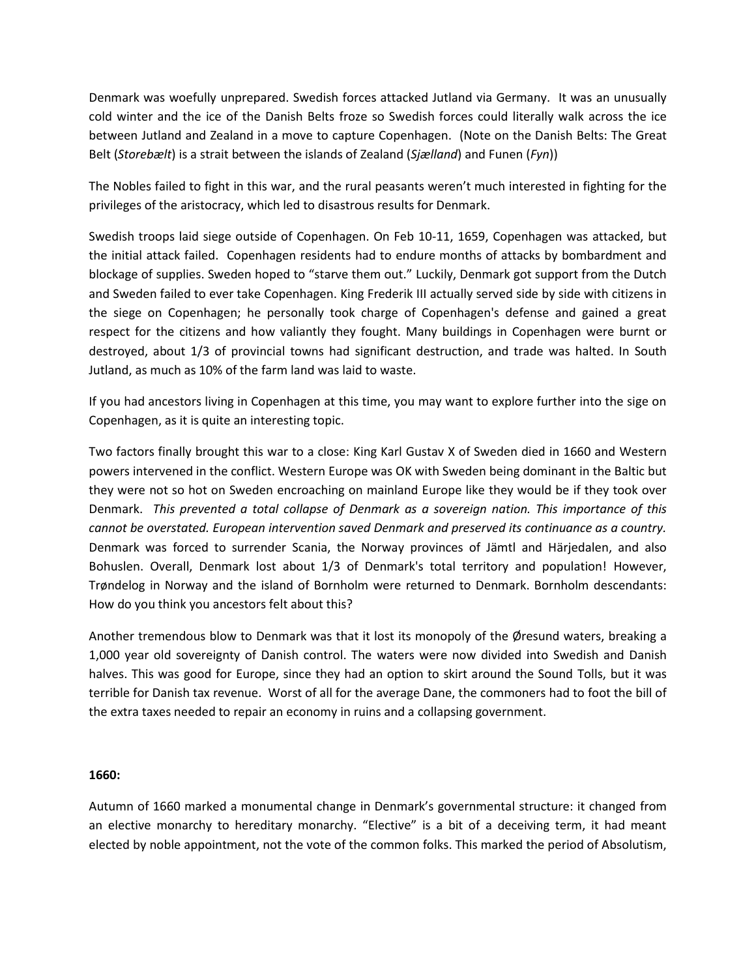Denmark was woefully unprepared. Swedish forces attacked Jutland via Germany. It was an unusually cold winter and the ice of the Danish Belts froze so Swedish forces could literally walk across the ice between Jutland and Zealand in a move to capture Copenhagen. (Note on the Danish Belts: The Great Belt (*Storebælt*) is a [strait](https://en.wikipedia.org/wiki/Strait) between the islands o[f Zealand](https://en.wikipedia.org/wiki/Zealand) (*Sjælland*) and [Funen](https://en.wikipedia.org/wiki/Funen) (*Fyn*))

The Nobles failed to fight in this war, and the rural peasants weren't much interested in fighting for the privileges of the aristocracy, which led to disastrous results for Denmark.

Swedish troops laid siege outside of Copenhagen. On Feb 10-11, 1659, Copenhagen was attacked, but the initial attack failed. Copenhagen residents had to endure months of attacks by bombardment and blockage of supplies. Sweden hoped to "starve them out." Luckily, Denmark got support from the Dutch and Sweden failed to ever take Copenhagen. King Frederik III actually served side by side with citizens in the siege on Copenhagen; he personally took charge of Copenhagen's defense and gained a great respect for the citizens and how valiantly they fought. Many buildings in Copenhagen were burnt or destroyed, about 1/3 of provincial towns had significant destruction, and trade was halted. In South Jutland, as much as 10% of the farm land was laid to waste.

If you had ancestors living in Copenhagen at this time, you may want to explore further into the sige on Copenhagen, as it is quite an interesting topic.

Two factors finally brought this war to a close: King Karl Gustav X of Sweden died in 1660 and Western powers intervened in the conflict. Western Europe was OK with Sweden being dominant in the Baltic but they were not so hot on Sweden encroaching on mainland Europe like they would be if they took over Denmark. *This prevented a total collapse of Denmark as a sovereign nation. This importance of this cannot be overstated. European intervention saved Denmark and preserved its continuance as a country.*  Denmark was forced to surrender Scania, the Norway provinces of Jӓmtl and Hӓrjedalen, and also Bohuslen. Overall, Denmark lost about 1/3 of Denmark's total territory and population! However, Trøndelog in Norway and the island of Bornholm were returned to Denmark. Bornholm descendants: How do you think you ancestors felt about this?

Another tremendous blow to Denmark was that it lost its monopoly of the Øresund waters, breaking a 1,000 year old sovereignty of Danish control. The waters were now divided into Swedish and Danish halves. This was good for Europe, since they had an option to skirt around the Sound Tolls, but it was terrible for Danish tax revenue. Worst of all for the average Dane, the commoners had to foot the bill of the extra taxes needed to repair an economy in ruins and a collapsing government.

#### **1660:**

Autumn of 1660 marked a monumental change in Denmark's governmental structure: it changed from an elective monarchy to hereditary monarchy. "Elective" is a bit of a deceiving term, it had meant elected by noble appointment, not the vote of the common folks. This marked the period of Absolutism,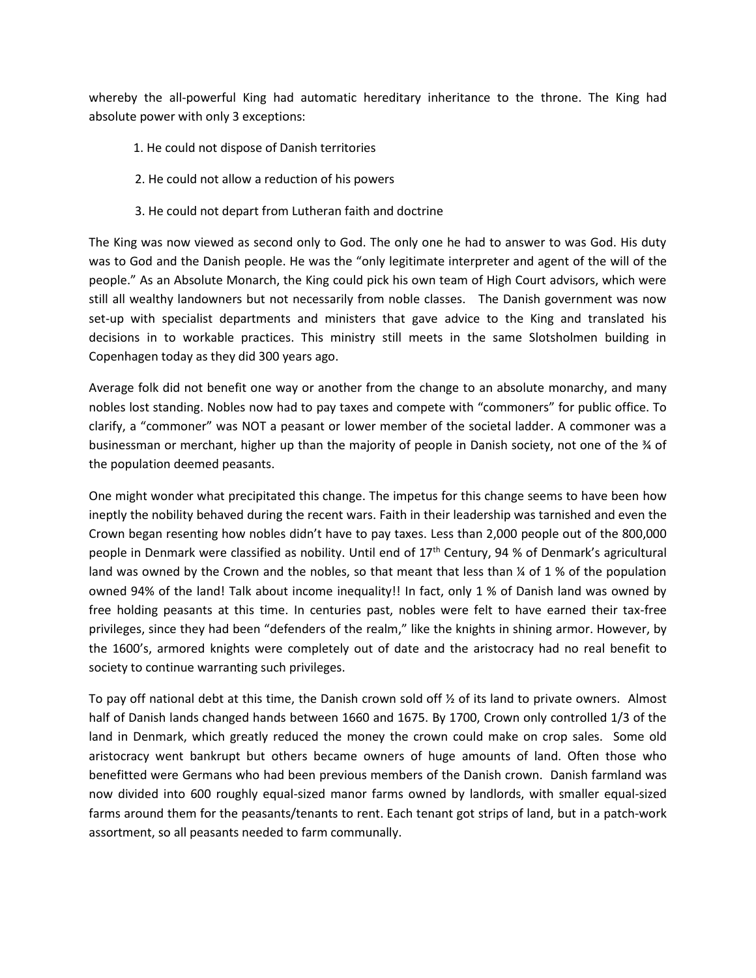whereby the all-powerful King had automatic hereditary inheritance to the throne. The King had absolute power with only 3 exceptions:

- 1. He could not dispose of Danish territories
- 2. He could not allow a reduction of his powers
- 3. He could not depart from Lutheran faith and doctrine

The King was now viewed as second only to God. The only one he had to answer to was God. His duty was to God and the Danish people. He was the "only legitimate interpreter and agent of the will of the people." As an Absolute Monarch, the King could pick his own team of High Court advisors, which were still all wealthy landowners but not necessarily from noble classes. The Danish government was now set-up with specialist departments and ministers that gave advice to the King and translated his decisions in to workable practices. This ministry still meets in the same Slotsholmen building in Copenhagen today as they did 300 years ago.

Average folk did not benefit one way or another from the change to an absolute monarchy, and many nobles lost standing. Nobles now had to pay taxes and compete with "commoners" for public office. To clarify, a "commoner" was NOT a peasant or lower member of the societal ladder. A commoner was a businessman or merchant, higher up than the majority of people in Danish society, not one of the ¾ of the population deemed peasants.

One might wonder what precipitated this change. The impetus for this change seems to have been how ineptly the nobility behaved during the recent wars. Faith in their leadership was tarnished and even the Crown began resenting how nobles didn't have to pay taxes. Less than 2,000 people out of the 800,000 people in Denmark were classified as nobility. Until end of 17th Century, 94 % of Denmark's agricultural land was owned by the Crown and the nobles, so that meant that less than  $\frac{1}{4}$  of 1 % of the population owned 94% of the land! Talk about income inequality!! In fact, only 1 % of Danish land was owned by free holding peasants at this time. In centuries past, nobles were felt to have earned their tax-free privileges, since they had been "defenders of the realm," like the knights in shining armor. However, by the 1600's, armored knights were completely out of date and the aristocracy had no real benefit to society to continue warranting such privileges.

To pay off national debt at this time, the Danish crown sold off  $\frac{1}{2}$  of its land to private owners. Almost half of Danish lands changed hands between 1660 and 1675. By 1700, Crown only controlled 1/3 of the land in Denmark, which greatly reduced the money the crown could make on crop sales. Some old aristocracy went bankrupt but others became owners of huge amounts of land. Often those who benefitted were Germans who had been previous members of the Danish crown. Danish farmland was now divided into 600 roughly equal-sized manor farms owned by landlords, with smaller equal-sized farms around them for the peasants/tenants to rent. Each tenant got strips of land, but in a patch-work assortment, so all peasants needed to farm communally.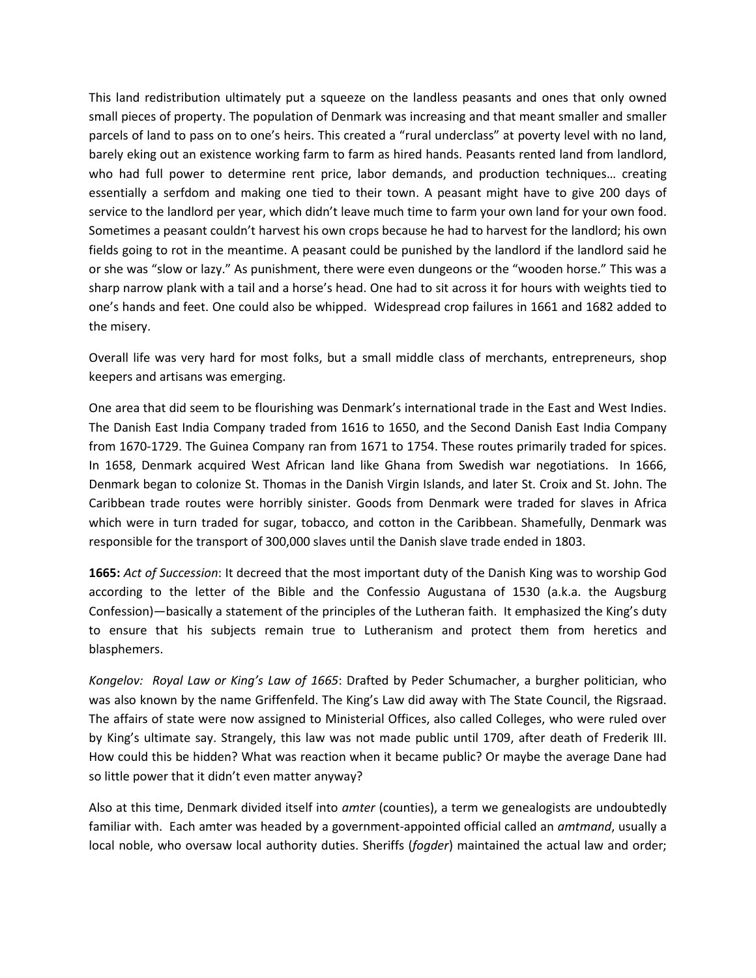This land redistribution ultimately put a squeeze on the landless peasants and ones that only owned small pieces of property. The population of Denmark was increasing and that meant smaller and smaller parcels of land to pass on to one's heirs. This created a "rural underclass" at poverty level with no land, barely eking out an existence working farm to farm as hired hands. Peasants rented land from landlord, who had full power to determine rent price, labor demands, and production techniques… creating essentially a serfdom and making one tied to their town. A peasant might have to give 200 days of service to the landlord per year, which didn't leave much time to farm your own land for your own food. Sometimes a peasant couldn't harvest his own crops because he had to harvest for the landlord; his own fields going to rot in the meantime. A peasant could be punished by the landlord if the landlord said he or she was "slow or lazy." As punishment, there were even dungeons or the "wooden horse." This was a sharp narrow plank with a tail and a horse's head. One had to sit across it for hours with weights tied to one's hands and feet. One could also be whipped. Widespread crop failures in 1661 and 1682 added to the misery.

Overall life was very hard for most folks, but a small middle class of merchants, entrepreneurs, shop keepers and artisans was emerging.

One area that did seem to be flourishing was Denmark's international trade in the East and West Indies. The Danish East India Company traded from 1616 to 1650, and the Second Danish East India Company from 1670-1729. The Guinea Company ran from 1671 to 1754. These routes primarily traded for spices. In 1658, Denmark acquired West African land like Ghana from Swedish war negotiations. In 1666, Denmark began to colonize St. Thomas in the Danish Virgin Islands, and later St. Croix and St. John. The Caribbean trade routes were horribly sinister. Goods from Denmark were traded for slaves in Africa which were in turn traded for sugar, tobacco, and cotton in the Caribbean. Shamefully, Denmark was responsible for the transport of 300,000 slaves until the Danish slave trade ended in 1803.

**1665:** *Act of Succession*: It decreed that the most important duty of the Danish King was to worship God according to the letter of the Bible and the Confessio Augustana of 1530 (a.k.a. the Augsburg Confession)—basically a statement of the principles of the Lutheran faith. It emphasized the King's duty to ensure that his subjects remain true to Lutheranism and protect them from heretics and blasphemers.

*Kongelov: Royal Law or King's Law of 1665*: Drafted by Peder Schumacher, a burgher politician, who was also known by the name Griffenfeld. The King's Law did away with The State Council, the Rigsraad. The affairs of state were now assigned to Ministerial Offices, also called Colleges, who were ruled over by King's ultimate say. Strangely, this law was not made public until 1709, after death of Frederik III. How could this be hidden? What was reaction when it became public? Or maybe the average Dane had so little power that it didn't even matter anyway?

Also at this time, Denmark divided itself into *amter* (counties), a term we genealogists are undoubtedly familiar with. Each amter was headed by a government-appointed official called an *amtmand*, usually a local noble, who oversaw local authority duties. Sheriffs (*fogder*) maintained the actual law and order;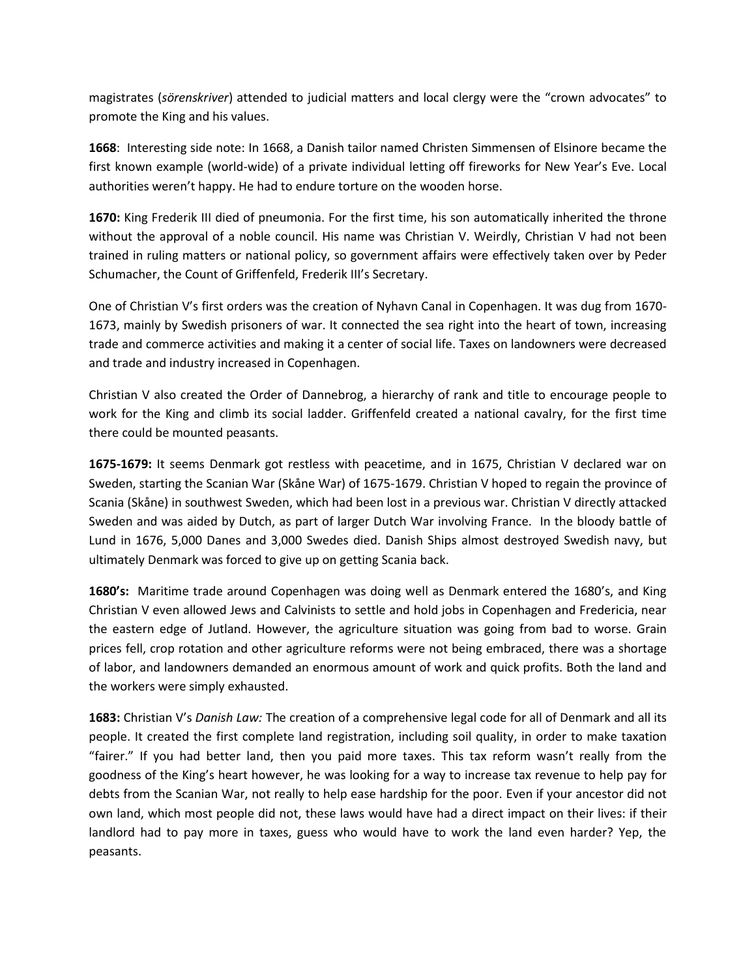magistrates (*sӧrenskriver*) attended to judicial matters and local clergy were the "crown advocates" to promote the King and his values.

**1668**: Interesting side note: In 1668, a Danish tailor named Christen Simmensen of Elsinore became the first known example (world-wide) of a private individual letting off fireworks for New Year's Eve. Local authorities weren't happy. He had to endure torture on the wooden horse.

**1670:** King Frederik III died of pneumonia. For the first time, his son automatically inherited the throne without the approval of a noble council. His name was Christian V. Weirdly, Christian V had not been trained in ruling matters or national policy, so government affairs were effectively taken over by Peder Schumacher, the Count of Griffenfeld, Frederik III's Secretary.

One of Christian V's first orders was the creation of Nyhavn Canal in Copenhagen. It was dug from 1670- 1673, mainly by Swedish prisoners of war. It connected the sea right into the heart of town, increasing trade and commerce activities and making it a center of social life. Taxes on landowners were decreased and trade and industry increased in Copenhagen.

Christian V also created the Order of Dannebrog, a hierarchy of rank and title to encourage people to work for the King and climb its social ladder. Griffenfeld created a national cavalry, for the first time there could be mounted peasants.

**1675-1679:** It seems Denmark got restless with peacetime, and in 1675, Christian V declared war on Sweden, starting the Scanian War (Skåne War) of 1675-1679. Christian V hoped to regain the province of Scania (Skåne) in southwest Sweden, which had been lost in a previous war. Christian V directly attacked Sweden and was aided by Dutch, as part of larger Dutch War involving France. In the bloody battle of Lund in 1676, 5,000 Danes and 3,000 Swedes died. Danish Ships almost destroyed Swedish navy, but ultimately Denmark was forced to give up on getting Scania back.

**1680's:** Maritime trade around Copenhagen was doing well as Denmark entered the 1680's, and King Christian V even allowed Jews and Calvinists to settle and hold jobs in Copenhagen and Fredericia, near the eastern edge of Jutland. However, the agriculture situation was going from bad to worse. Grain prices fell, crop rotation and other agriculture reforms were not being embraced, there was a shortage of labor, and landowners demanded an enormous amount of work and quick profits. Both the land and the workers were simply exhausted.

**1683:** Christian V's *Danish Law:* The creation of a comprehensive legal code for all of Denmark and all its people. It created the first complete land registration, including soil quality, in order to make taxation "fairer." If you had better land, then you paid more taxes. This tax reform wasn't really from the goodness of the King's heart however, he was looking for a way to increase tax revenue to help pay for debts from the Scanian War, not really to help ease hardship for the poor. Even if your ancestor did not own land, which most people did not, these laws would have had a direct impact on their lives: if their landlord had to pay more in taxes, guess who would have to work the land even harder? Yep, the peasants.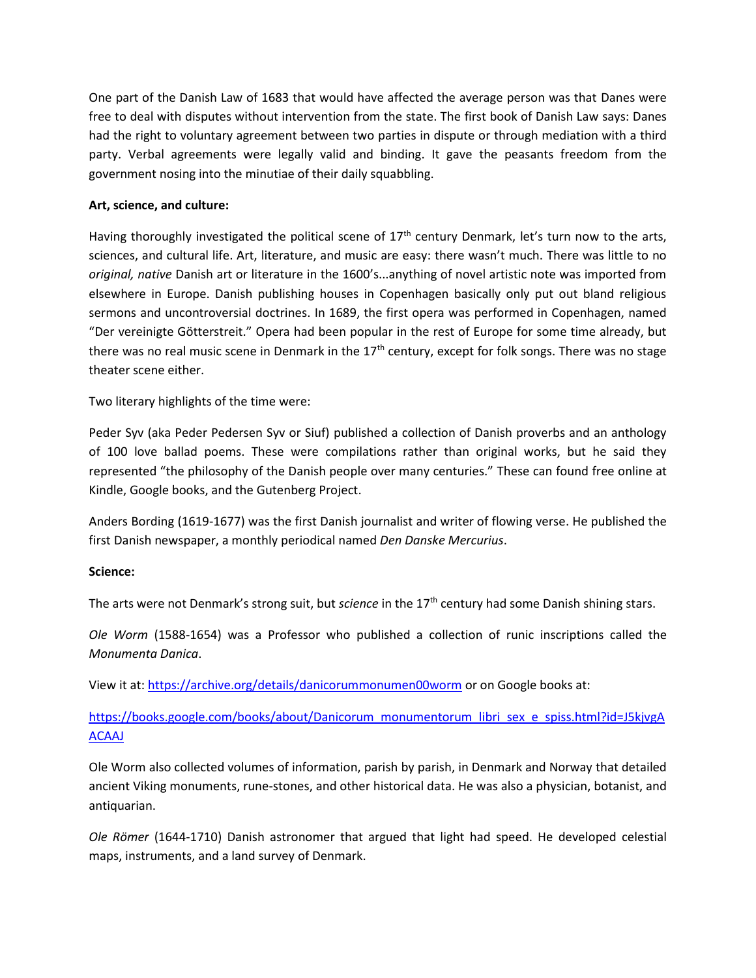One part of the Danish Law of 1683 that would have affected the average person was that Danes were free to deal with disputes without intervention from the state. The first book of Danish Law says: Danes had the right to voluntary agreement between two parties in dispute or through mediation with a third party. Verbal agreements were legally valid and binding. It gave the peasants freedom from the government nosing into the minutiae of their daily squabbling.

# **Art, science, and culture:**

Having thoroughly investigated the political scene of  $17<sup>th</sup>$  century Denmark, let's turn now to the arts, sciences, and cultural life. Art, literature, and music are easy: there wasn't much. There was little to no *original, native* Danish art or literature in the 1600's...anything of novel artistic note was imported from elsewhere in Europe. Danish publishing houses in Copenhagen basically only put out bland religious sermons and uncontroversial doctrines. In 1689, the first opera was performed in Copenhagen, named "Der vereinigte Gӧtterstreit." Opera had been popular in the rest of Europe for some time already, but there was no real music scene in Denmark in the 17<sup>th</sup> century, except for folk songs. There was no stage theater scene either.

Two literary highlights of the time were:

Peder Syv (aka Peder Pedersen Syv or Siuf) published a collection of Danish proverbs and an anthology of 100 love ballad poems. These were compilations rather than original works, but he said they represented "the philosophy of the Danish people over many centuries." These can found free online at Kindle, Google books, and the Gutenberg Project.

Anders Bording (1619-1677) was the first Danish journalist and writer of flowing verse. He published the first Danish newspaper, a monthly periodical named *Den Danske Mercurius*.

## **Science:**

The arts were not Denmark's strong suit, but *science* in the 17th century had some Danish shining stars.

*Ole Worm* (1588-1654) was a Professor who published a collection of runic inscriptions called the *Monumenta Danica*.

View it at[: https://archive.org/details/danicorummonumen00worm](https://archive.org/details/danicorummonumen00worm) or on Google books at:

[https://books.google.com/books/about/Danicorum\\_monumentorum\\_libri\\_sex\\_e\\_spiss.html?id=J5kjvgA](https://books.google.com/books/about/Danicorum_monumentorum_libri_sex_e_spiss.html?id=J5kjvgAACAAJ) **[ACAAJ](https://books.google.com/books/about/Danicorum_monumentorum_libri_sex_e_spiss.html?id=J5kjvgAACAAJ)** 

Ole Worm also collected volumes of information, parish by parish, in Denmark and Norway that detailed ancient Viking monuments, rune-stones, and other historical data. He was also a physician, botanist, and antiquarian.

*Ole Rӧmer* (1644-1710) Danish astronomer that argued that light had speed. He developed celestial maps, instruments, and a land survey of Denmark.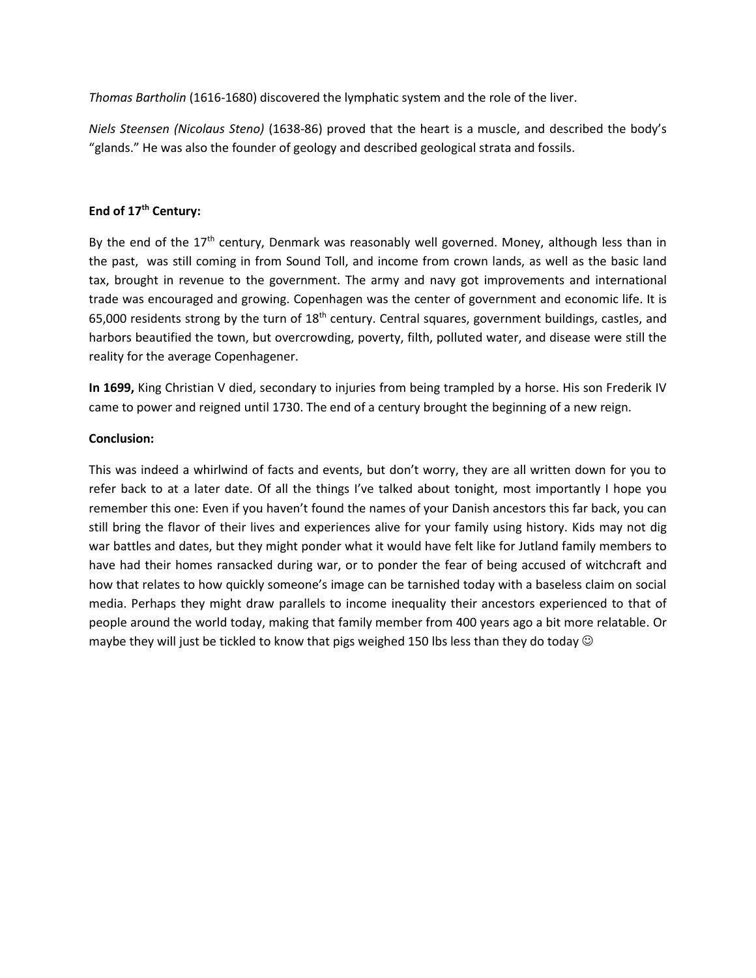*Thomas Bartholin* (1616-1680) discovered the lymphatic system and the role of the liver.

*Niels Steensen (Nicolaus Steno)* (1638-86) proved that the heart is a muscle, and described the body's "glands." He was also the founder of geology and described geological strata and fossils.

# **End of 17th Century:**

By the end of the 17<sup>th</sup> century, Denmark was reasonably well governed. Money, although less than in the past, was still coming in from Sound Toll, and income from crown lands, as well as the basic land tax, brought in revenue to the government. The army and navy got improvements and international trade was encouraged and growing. Copenhagen was the center of government and economic life. It is 65,000 residents strong by the turn of  $18<sup>th</sup>$  central squares, government buildings, castles, and harbors beautified the town, but overcrowding, poverty, filth, polluted water, and disease were still the reality for the average Copenhagener.

**In 1699,** King Christian V died, secondary to injuries from being trampled by a horse. His son Frederik IV came to power and reigned until 1730. The end of a century brought the beginning of a new reign.

# **Conclusion:**

This was indeed a whirlwind of facts and events, but don't worry, they are all written down for you to refer back to at a later date. Of all the things I've talked about tonight, most importantly I hope you remember this one: Even if you haven't found the names of your Danish ancestors this far back, you can still bring the flavor of their lives and experiences alive for your family using history. Kids may not dig war battles and dates, but they might ponder what it would have felt like for Jutland family members to have had their homes ransacked during war, or to ponder the fear of being accused of witchcraft and how that relates to how quickly someone's image can be tarnished today with a baseless claim on social media. Perhaps they might draw parallels to income inequality their ancestors experienced to that of people around the world today, making that family member from 400 years ago a bit more relatable. Or maybe they will just be tickled to know that pigs weighed 150 lbs less than they do today  $\odot$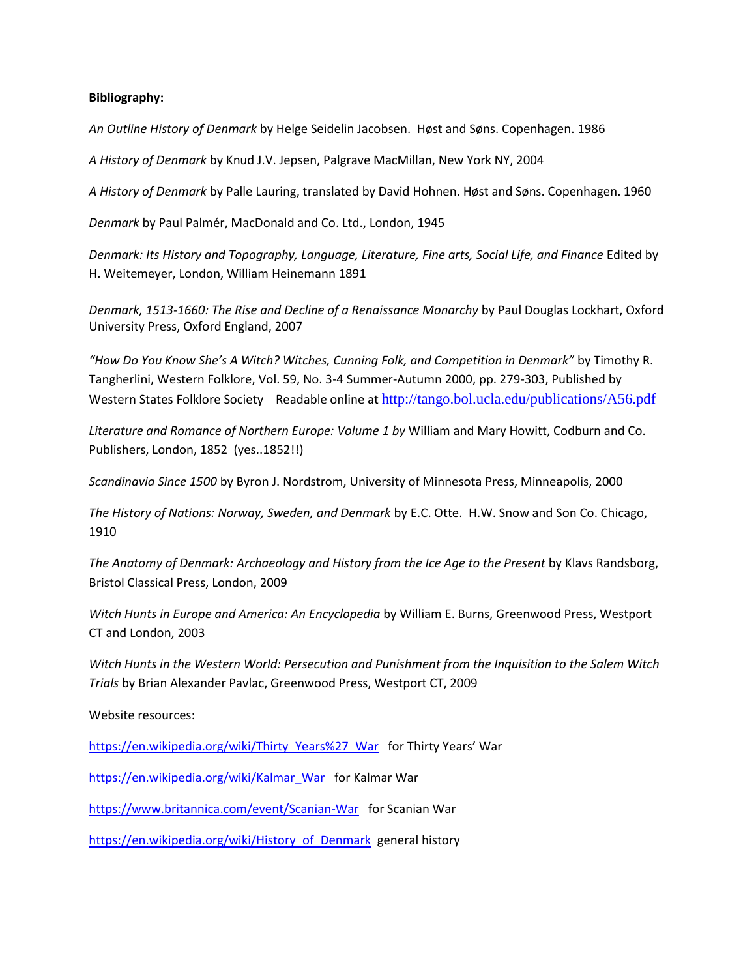### **Bibliography:**

*An Outline History of Denmark* by Helge Seidelin Jacobsen. Høst and Søns. Copenhagen. 1986

*A History of Denmark* by Knud J.V. Jepsen, Palgrave MacMillan, New York NY, 2004

*A History of Denmark* by Palle Lauring, translated by David Hohnen. Høst and Søns. Copenhagen. 1960

*Denmark* by Paul Palmér, MacDonald and Co. Ltd., London, 1945

*Denmark: Its History and Topography, Language, Literature, Fine arts, Social Life, and Finance* Edited by H. Weitemeyer, London, William Heinemann 1891

*Denmark, 1513-1660: The Rise and Decline of a Renaissance Monarchy* by Paul Douglas Lockhart, Oxford University Press, Oxford England, 2007

*"How Do You Know She's A Witch? Witches, Cunning Folk, and Competition in Denmark"* by Timothy R. Tangherlini, Western Folklore, Vol. 59, No. 3-4 Summer-Autumn 2000, pp. 279-303, Published by Western States Folklore Society Readable online at http://tango.bol.ucla.edu/publications/A56.pdf

*Literature and Romance of Northern Europe: Volume 1 by* William and Mary Howitt, Codburn and Co. Publishers, London, 1852 (yes..1852!!)

*Scandinavia Since 1500* by Byron J. Nordstrom, University of Minnesota Press, Minneapolis, 2000

*The History of Nations: Norway, Sweden, and Denmark* by E.C. Otte. H.W. Snow and Son Co. Chicago, 1910

*The Anatomy of Denmark: Archaeology and History from the Ice Age to the Present* by Klavs Randsborg, Bristol Classical Press, London, 2009

*Witch Hunts in Europe and America: An Encyclopedia* by William E. Burns, Greenwood Press, Westport CT and London, 2003

*Witch Hunts in the Western World: Persecution and Punishment from the Inquisition to the Salem Witch Trials* by Brian Alexander Pavlac, Greenwood Press, Westport CT, 2009

Website resources:

[https://en.wikipedia.org/wiki/Thirty\\_Years%27\\_War](https://en.wikipedia.org/wiki/Thirty_Years%27_War) for Thirty Years' War

[https://en.wikipedia.org/wiki/Kalmar\\_War](https://en.wikipedia.org/wiki/Kalmar_War) for Kalmar War

<https://www.britannica.com/event/Scanian-War>for Scanian War

[https://en.wikipedia.org/wiki/History\\_of\\_Denmark](https://en.wikipedia.org/wiki/History_of_Denmark) general history